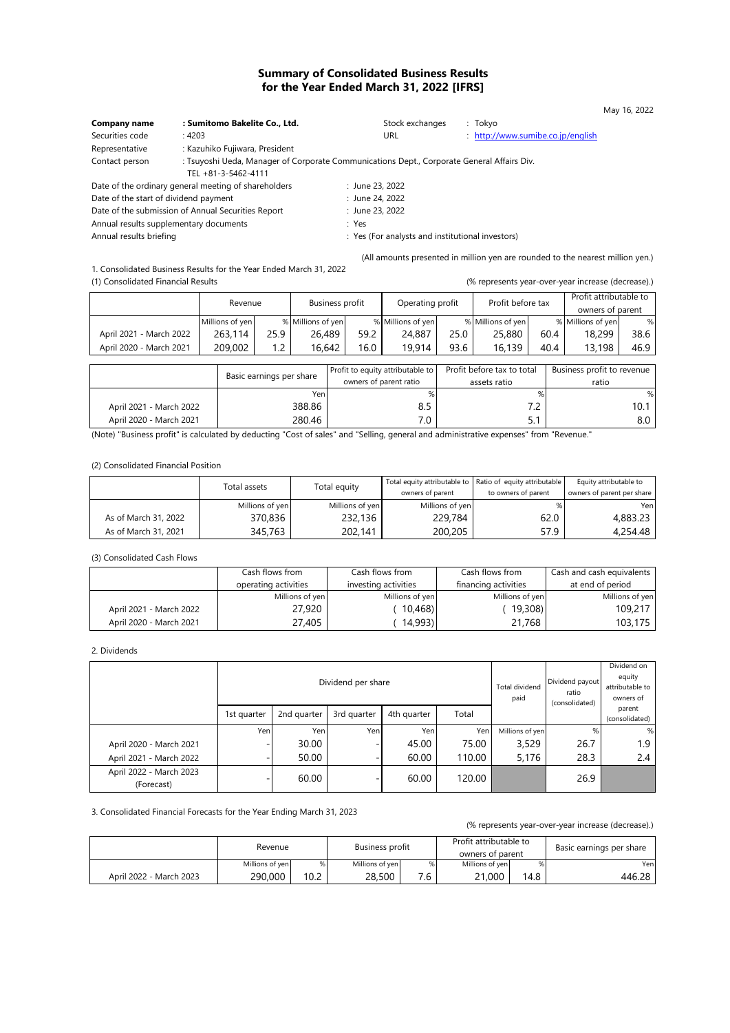# **Summary of Consolidated Business Results for the Year Ended March 31, 2022 [IFRS]**

| Company name                                       | : Sumitomo Bakelite Co., Ltd.                                                                                     | Stock exchanges | : Tokyo                           |
|----------------------------------------------------|-------------------------------------------------------------------------------------------------------------------|-----------------|-----------------------------------|
| Securities code                                    | : 4203                                                                                                            | URL             | : http://www.sumibe.co.jp/english |
| Representative                                     | : Kazuhiko Fujiwara, President                                                                                    |                 |                                   |
| Contact person                                     | : Tsuyoshi Ueda, Manager of Corporate Communications Dept., Corporate General Affairs Div.<br>TEL +81-3-5462-4111 |                 |                                   |
|                                                    | Date of the ordinary general meeting of shareholders                                                              | : June 23, 2022 |                                   |
| Date of the start of dividend payment              |                                                                                                                   | : June 24, 2022 |                                   |
| Date of the submission of Annual Securities Report |                                                                                                                   | : June 23, 2022 |                                   |

Annual results supplementary documents in the sum of the Second Second Press, the Second Second Second Second Second Second Second Second Second Second Second Second Second Second Second Second Second Second Second Second

(All amounts presented in million yen are rounded to the nearest million yen.)

: Yes (For analysts and institutional investors)

1. Consolidated Business Results for the Year Ended March 31, 2022 (1) Consolidated Financial Results (% represents year-over-year increase (decrease).)

|                         |                 |                          |                   | <b>Business profit</b><br>Revenue |      | Operating profit                 |              | Profit before tax          |                  | Profit attributable to     |      |  |
|-------------------------|-----------------|--------------------------|-------------------|-----------------------------------|------|----------------------------------|--------------|----------------------------|------------------|----------------------------|------|--|
|                         |                 |                          |                   |                                   |      |                                  |              |                            | owners of parent |                            |      |  |
|                         | Millions of yen |                          | % Millions of yen |                                   |      | % Millions of yen                |              | % Millions of yen          |                  | % Millions of yen          | %    |  |
| April 2021 - March 2022 | 263,114         | 25.9                     | 26,489            |                                   | 59.2 | 24,887                           | 25.0         | 25,880                     | 60.4             | 18,299                     | 38.6 |  |
| April 2020 - March 2021 | 209,002         | 1.2                      |                   | 16,642                            | 16.0 | 19,914                           | 93.6         | 16,139                     | 40.4             | 13,198                     | 46.9 |  |
|                         |                 |                          |                   |                                   |      |                                  |              |                            |                  |                            |      |  |
|                         |                 |                          |                   |                                   |      | Profit to equity attributable to |              | Profit before tax to total |                  | Business profit to revenue |      |  |
|                         |                 | Basic earnings per share |                   | owners of parent ratio            |      |                                  | assets ratio |                            |                  | ratio                      |      |  |
|                         |                 | Yen                      |                   |                                   |      |                                  |              | $\%$                       |                  | %                          |      |  |
| April 2021 - March 2022 |                 | 388.86                   |                   |                                   | 8.5  |                                  |              | 7.2                        |                  | 10.1                       |      |  |
| April 2020 - March 2021 |                 | 280.46                   |                   |                                   | 7.0  |                                  |              | 5.1                        |                  | 8.0                        |      |  |

(Note) "Business profit" is calculated by deducting "Cost of sales" and "Selling, general and administrative expenses" from "Revenue."

(2) Consolidated Financial Position

|                      | Total assets    | Total equity    | owners of parent | Total equity attributable to Ratio of equity attributable<br>to owners of parent | Equity attributable to<br>owners of parent per share |
|----------------------|-----------------|-----------------|------------------|----------------------------------------------------------------------------------|------------------------------------------------------|
|                      | Millions of yen | Millions of yen | Millions of yen  | %۱                                                                               | Yenl                                                 |
| As of March 31, 2022 | 370,836         | 232,136         | 229,784          | 62.0                                                                             | 4,883.23                                             |
| As of March 31, 2021 | 345,763         | 202,141         | 200,205          | 57.9                                                                             | 4,254.48                                             |

(3) Consolidated Cash Flows

|                         | Cash flows from | Cash flows from      | Cash flows from      | Cash and cash equivalents |  |
|-------------------------|-----------------|----------------------|----------------------|---------------------------|--|
| operating activities    |                 | investing activities | financing activities | at end of period          |  |
|                         | Millions of yen | Millions of yen      | Millions of yen      | Millions of yen           |  |
| April 2021 - March 2022 | 27,920          | 10,468               | 19,308               | 109,217                   |  |
| April 2020 - March 2021 | 27.405          | 14,993)              | 21.768               | 103,175                   |  |

2. Dividends

|                                       |             |             | Dividend per share | Total dividend<br>paid | Dividend payout<br>ratio<br>(consolidated) | Dividend on<br>equity<br>attributable to<br>owners of |      |                          |  |
|---------------------------------------|-------------|-------------|--------------------|------------------------|--------------------------------------------|-------------------------------------------------------|------|--------------------------|--|
|                                       | 1st quarter | 2nd quarter | 3rd quarter        | 4th quarter            | Total                                      |                                                       |      | parent<br>(consolidated) |  |
|                                       | Yen         | Yen         | Yen                | Yeni                   | Yen                                        | Millions of yen                                       | %    | %                        |  |
| April 2020 - March 2021               |             | 30.00       |                    | 45.00                  | 75.00                                      | 3,529                                                 | 26.7 | 1.9                      |  |
| April 2021 - March 2022               |             | 50.00       |                    | 60.00                  | 110.00                                     | 5,176                                                 | 28.3 | 2.4                      |  |
| April 2022 - March 2023<br>(Forecast) |             | 60.00       |                    | 60.00                  | 120.00                                     |                                                       | 26.9 |                          |  |

3. Consolidated Financial Forecasts for the Year Ending March 31, 2023

#### (% represents year-over-year increase (decrease).)

|                         | Revenue         |      | Business profit |     | Profit attributable to<br>owners of parent |     | Basic earnings per share |  |
|-------------------------|-----------------|------|-----------------|-----|--------------------------------------------|-----|--------------------------|--|
|                         | Millions of ven |      | Millions of ven |     | Millions of yen                            |     | Yenl                     |  |
| April 2022 - March 2023 | 290,000         | 10.2 | 28,500          | 7.6 | 21,000                                     | 4.8 | 446.28                   |  |

May 16, 2022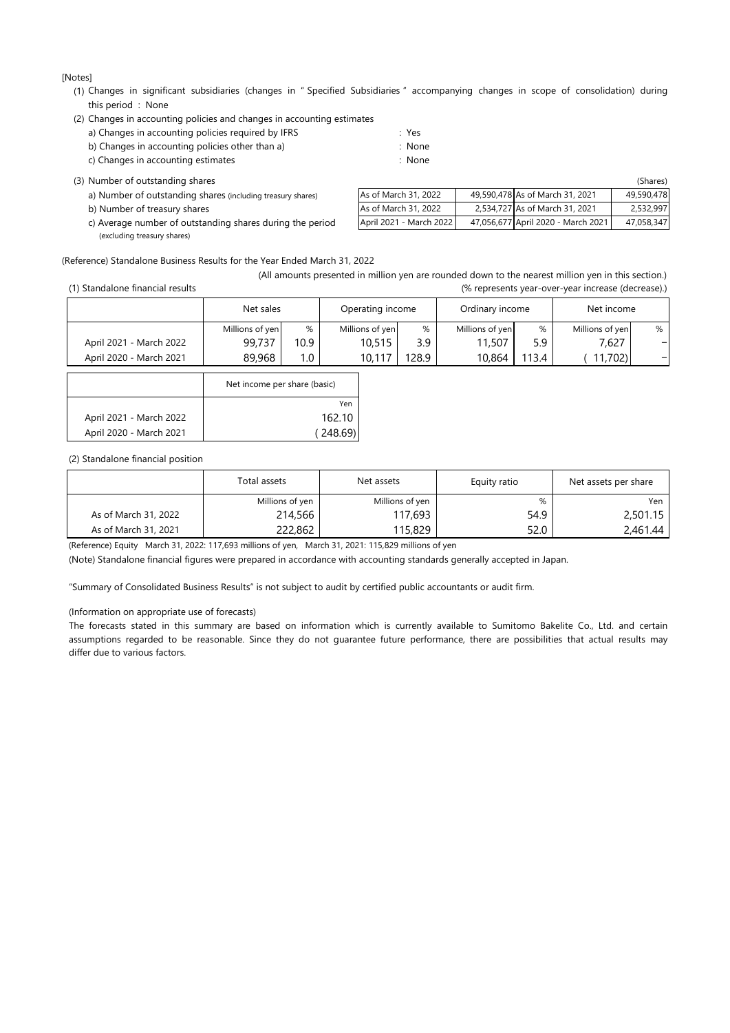[Notes]

(1) Changes in significant subsidiaries (changes in " Specified Subsidiaries " accompanying changes in scope of consolidation) during this period : None

| (2) Changes in accounting policies and changes in accounting estimates |
|------------------------------------------------------------------------|
|------------------------------------------------------------------------|

| a) Changes in accounting policies required by IFRS | : Yes  |
|----------------------------------------------------|--------|
| b) Changes in accounting policies other than a)    | : None |
| c) Changes in accounting estimates                 | : None |

(3) Number of outstanding shares

a) Number of outstanding shares (including treasury shares)

b) Number of treasury shares

c) Average number of outstanding shares during the period (excluding treasury shares)

|                         |                                    | (Shares)   |
|-------------------------|------------------------------------|------------|
| As of March 31, 2022    | 49,590,478 As of March 31, 2021    | 49.590.478 |
| As of March 31, 2022    | 2,534,727 As of March 31, 2021     | 2,532,997  |
| April 2021 - March 2022 | 47,056,677 April 2020 - March 2021 | 47,058,347 |

(Reference) Standalone Business Results for the Year Ended March 31, 2022

|                                  | (All amounts presented in million yen are rounded down to the nearest million yen in this section.) |
|----------------------------------|-----------------------------------------------------------------------------------------------------|
| (1) Standalone financial results | (% represents year-over-year increase (decrease).)                                                  |

|                         | Net sales       |      | Operating income |      | Ordinary income |       | Net income      |   |
|-------------------------|-----------------|------|------------------|------|-----------------|-------|-----------------|---|
|                         | Millions of yen | %    | Millions of yen  | %    | Millions of yen | %     | Millions of yen | % |
| April 2021 - March 2022 | 99.737          | 10.9 | 10,515           | 3.9  | 11,507          | 5.9   | 7,627           |   |
| April 2020 - March 2021 | 89,968          | 1.0  | 10.117           | 28.9 | 10,864          | 113.4 | 11,702          |   |

|                         | Net income per share (basic) |
|-------------------------|------------------------------|
|                         | Yen                          |
| April 2021 - March 2022 | 162.10                       |
| April 2020 - March 2021 | (248.69)                     |

#### (2) Standalone financial position

|                      | Total assets    | Net assets      | Equity ratio | Net assets per share |  |
|----------------------|-----------------|-----------------|--------------|----------------------|--|
|                      | Millions of yen | Millions of yen | %            | Yen                  |  |
| As of March 31, 2022 | 214,566         | 117,693         | 54.9         | 2,501.15             |  |
| As of March 31, 2021 | 222,862         | 115,829         | 52.0         | 2,461.44             |  |

(Reference) Equity March 31, 2022: 117,693 millions of yen, March 31, 2021: 115,829 millions of yen

(Note) Standalone financial figures were prepared in accordance with accounting standards generally accepted in Japan.

"Summary of Consolidated Business Results" is not subject to audit by certified public accountants or audit firm.

(Information on appropriate use of forecasts)

The forecasts stated in this summary are based on information which is currently available to Sumitomo Bakelite Co., Ltd. and certain differ due to various factors. assumptions regarded to be reasonable. Since they do not guarantee future performance, there are possibilities that actual results may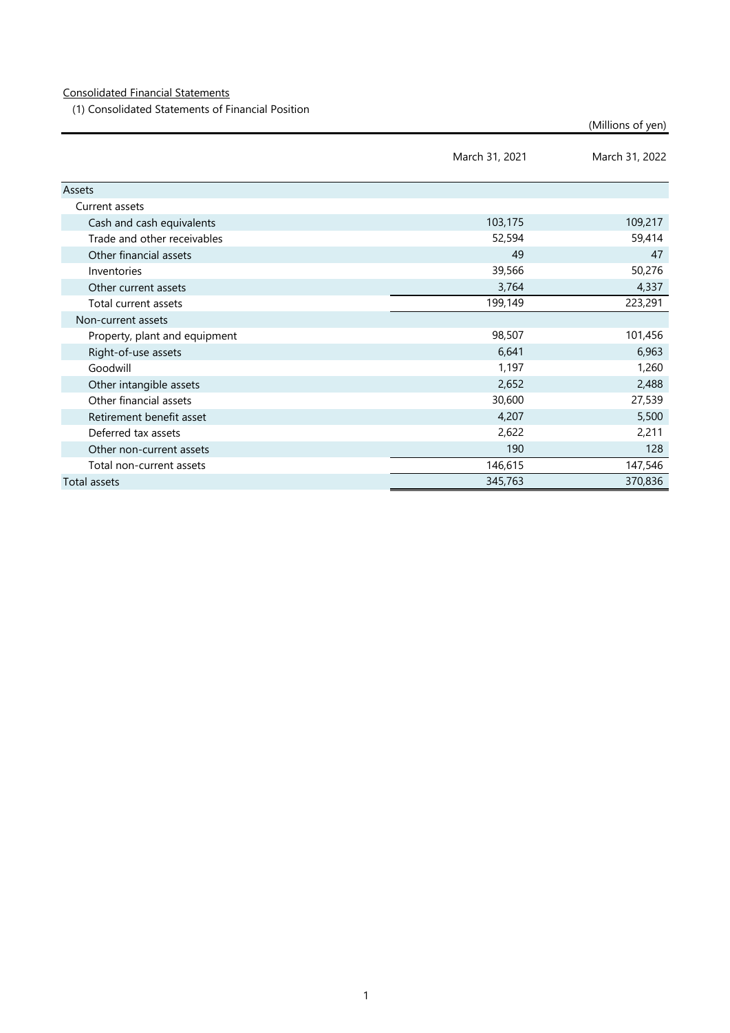# Consolidated Financial Statements

(1) Consolidated Statements of Financial Position

(Millions of yen)

|                               | March 31, 2021 | March 31, 2022 |
|-------------------------------|----------------|----------------|
| Assets                        |                |                |
| Current assets                |                |                |
| Cash and cash equivalents     | 103,175        | 109,217        |
| Trade and other receivables   | 52,594         | 59,414         |
| Other financial assets        | 49             | 47             |
| Inventories                   | 39,566         | 50,276         |
| Other current assets          | 3,764          | 4,337          |
| Total current assets          | 199,149        | 223,291        |
| Non-current assets            |                |                |
| Property, plant and equipment | 98,507         | 101,456        |
| Right-of-use assets           | 6,641          | 6,963          |
| Goodwill                      | 1,197          | 1,260          |
| Other intangible assets       | 2,652          | 2,488          |
| Other financial assets        | 30,600         | 27,539         |
| Retirement benefit asset      | 4,207          | 5,500          |
| Deferred tax assets           | 2,622          | 2,211          |
| Other non-current assets      | 190            | 128            |
| Total non-current assets      | 146,615        | 147,546        |
| Total assets                  | 345,763        | 370,836        |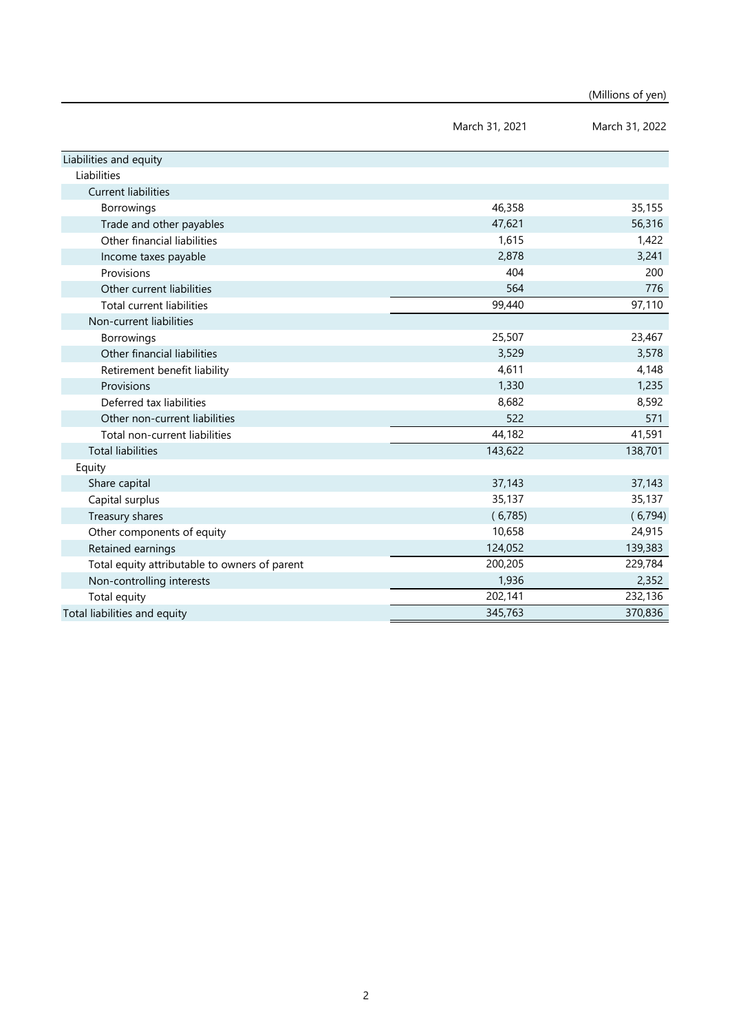|                                               |                | (Millions of yen) |
|-----------------------------------------------|----------------|-------------------|
|                                               | March 31, 2021 | March 31, 2022    |
| Liabilities and equity                        |                |                   |
| Liabilities                                   |                |                   |
| <b>Current liabilities</b>                    |                |                   |
| Borrowings                                    | 46,358         | 35,155            |
| Trade and other payables                      | 47,621         | 56,316            |
| Other financial liabilities                   | 1,615          | 1,422             |
| Income taxes payable                          | 2,878          | 3,241             |
| Provisions                                    | 404            | 200               |
| Other current liabilities                     | 564            | 776               |
| <b>Total current liabilities</b>              | 99,440         | 97,110            |
| Non-current liabilities                       |                |                   |
| Borrowings                                    | 25,507         | 23,467            |
| Other financial liabilities                   | 3,529          | 3,578             |
| Retirement benefit liability                  | 4,611          | 4,148             |
| Provisions                                    | 1,330          | 1,235             |
| Deferred tax liabilities                      | 8,682          | 8,592             |
| Other non-current liabilities                 | 522            | 571               |
| Total non-current liabilities                 | 44,182         | 41,591            |
| <b>Total liabilities</b>                      | 143,622        | 138,701           |
| Equity                                        |                |                   |
| Share capital                                 | 37,143         | 37,143            |
| Capital surplus                               | 35,137         | 35,137            |
| Treasury shares                               | (6,785)        | (6,794)           |
| Other components of equity                    | 10,658         | 24,915            |
| Retained earnings                             | 124,052        | 139,383           |
| Total equity attributable to owners of parent | 200,205        | 229,784           |
| Non-controlling interests                     | 1,936          | 2,352             |
| Total equity                                  | 202,141        | 232,136           |
| Total liabilities and equity                  | 345,763        | 370,836           |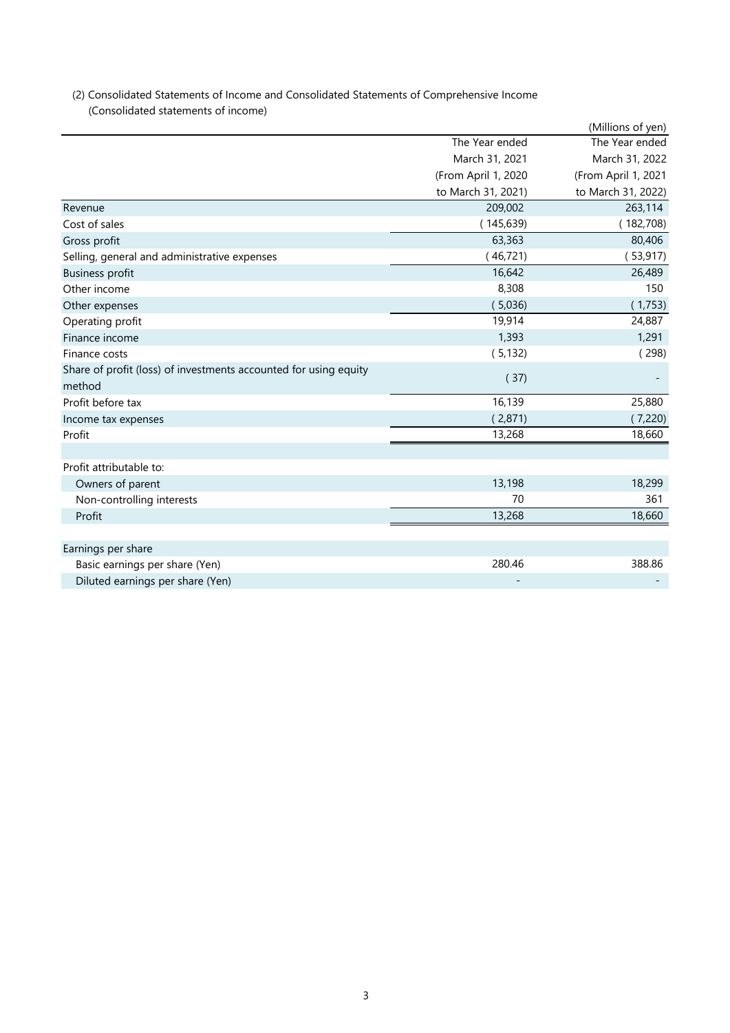| (2) Consolidated Statements of Income and Consolidated Statements of Comprehensive Income |
|-------------------------------------------------------------------------------------------|
| (Consolidated statements of income)                                                       |

|                                                                  |                     | (Millions of yen)   |
|------------------------------------------------------------------|---------------------|---------------------|
|                                                                  | The Year ended      | The Year ended      |
|                                                                  | March 31, 2021      | March 31, 2022      |
|                                                                  | (From April 1, 2020 | (From April 1, 2021 |
|                                                                  | to March 31, 2021)  | to March 31, 2022)  |
| Revenue                                                          | 209,002             | 263,114             |
| Cost of sales                                                    | (145, 639)          | (182,708)           |
| Gross profit                                                     | 63,363              | 80,406              |
| Selling, general and administrative expenses                     | (46, 721)           | (53, 917)           |
| <b>Business profit</b>                                           | 16,642              | 26,489              |
| Other income                                                     | 8,308               | 150                 |
| Other expenses                                                   | (5,036)             | (1,753)             |
| Operating profit                                                 | 19,914              | 24,887              |
| Finance income                                                   | 1,393               | 1,291               |
| Finance costs                                                    | (5, 132)            | (298)               |
| Share of profit (loss) of investments accounted for using equity | (37)                |                     |
| method                                                           |                     |                     |
| Profit before tax                                                | 16,139              | 25,880              |
| Income tax expenses                                              | (2,871)             | (7,220)             |
| Profit                                                           | 13,268              | 18,660              |
|                                                                  |                     |                     |
| Profit attributable to:                                          |                     |                     |
| Owners of parent                                                 | 13,198              | 18,299              |
| Non-controlling interests                                        | 70                  | 361                 |
| Profit                                                           | 13,268              | 18,660              |
|                                                                  |                     |                     |
| Earnings per share                                               |                     |                     |
| Basic earnings per share (Yen)                                   | 280.46              | 388.86              |
| Diluted earnings per share (Yen)                                 |                     |                     |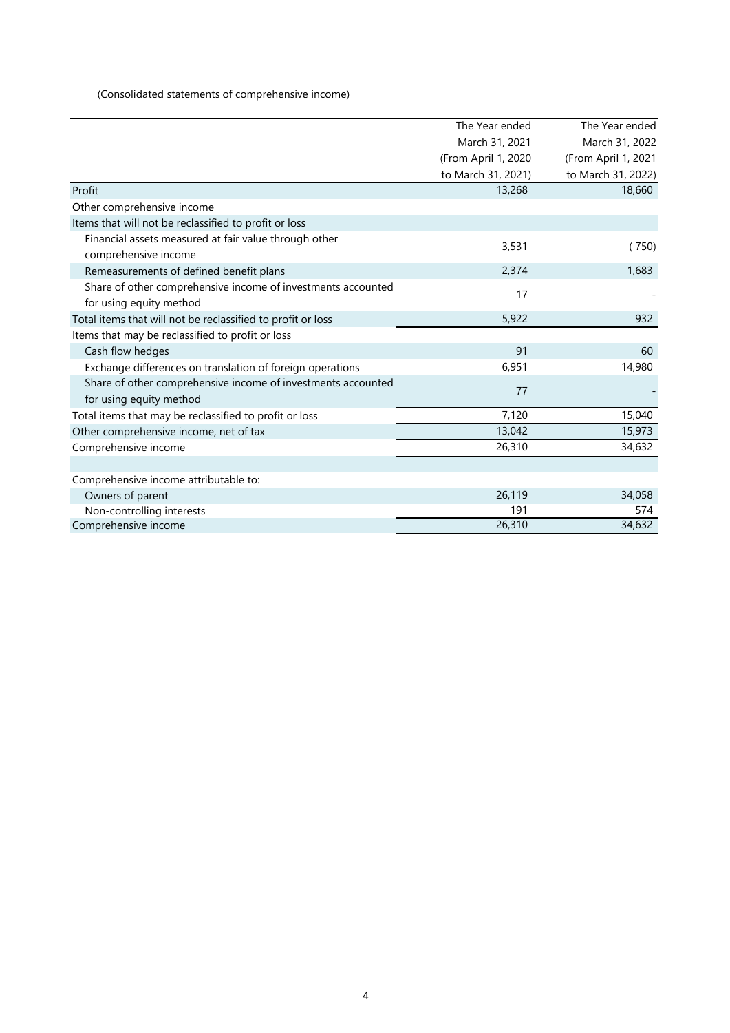(Consolidated statements of comprehensive income)

|                                                              | The Year ended      | The Year ended      |
|--------------------------------------------------------------|---------------------|---------------------|
|                                                              | March 31, 2021      | March 31, 2022      |
|                                                              | (From April 1, 2020 | (From April 1, 2021 |
|                                                              | to March 31, 2021)  | to March 31, 2022)  |
| Profit                                                       | 13,268              | 18,660              |
| Other comprehensive income                                   |                     |                     |
| Items that will not be reclassified to profit or loss        |                     |                     |
| Financial assets measured at fair value through other        | 3,531               |                     |
| comprehensive income                                         |                     | (750)               |
| Remeasurements of defined benefit plans                      | 2,374               | 1,683               |
| Share of other comprehensive income of investments accounted | 17                  |                     |
| for using equity method                                      |                     |                     |
| Total items that will not be reclassified to profit or loss  | 5,922               | 932                 |
| Items that may be reclassified to profit or loss             |                     |                     |
| Cash flow hedges                                             | 91                  | 60                  |
| Exchange differences on translation of foreign operations    | 6,951               | 14,980              |
| Share of other comprehensive income of investments accounted | 77                  |                     |
| for using equity method                                      |                     |                     |
| Total items that may be reclassified to profit or loss       | 7,120               | 15,040              |
| Other comprehensive income, net of tax                       | 13,042              | 15,973              |
| Comprehensive income                                         | 26,310              | 34,632              |
|                                                              |                     |                     |
| Comprehensive income attributable to:                        |                     |                     |
| Owners of parent                                             | 26,119              | 34,058              |
| Non-controlling interests                                    | 191                 | 574                 |
| Comprehensive income                                         | 26,310              | 34,632              |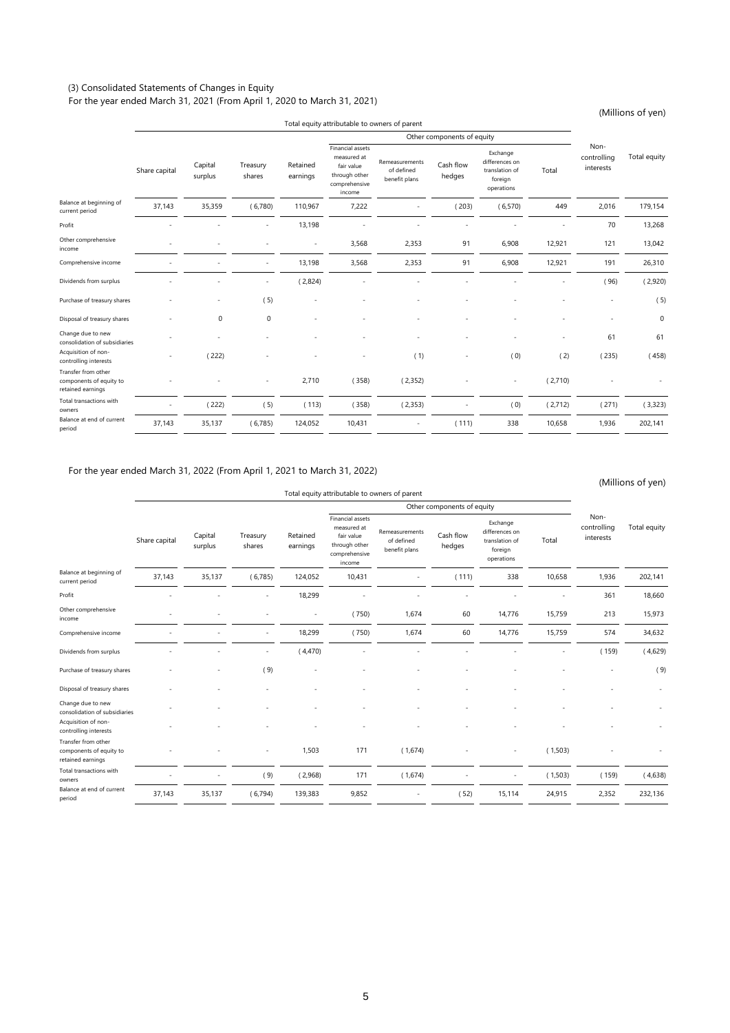# (3) Consolidated Statements of Changes in Equity

For the year ended March 31, 2021 (From April 1, 2020 to March 31, 2021)

(Millions of yen)

|                                                                     |                          |                    |                    |                      |                                                                                           | Total equity attributable to owners of parent |                            |                                                                       |         |                                  |              |
|---------------------------------------------------------------------|--------------------------|--------------------|--------------------|----------------------|-------------------------------------------------------------------------------------------|-----------------------------------------------|----------------------------|-----------------------------------------------------------------------|---------|----------------------------------|--------------|
|                                                                     |                          |                    |                    |                      |                                                                                           |                                               | Other components of equity |                                                                       |         |                                  |              |
|                                                                     | Share capital            | Capital<br>surplus | Treasury<br>shares | Retained<br>earnings | Financial assets<br>measured at<br>fair value<br>through other<br>comprehensive<br>income | Remeasurements<br>of defined<br>benefit plans | Cash flow<br>hedges        | Exchange<br>differences on<br>translation of<br>foreign<br>operations | Total   | Non-<br>controlling<br>interests | Total equity |
| Balance at beginning of<br>current period                           | 37,143                   | 35,359             | (6,780)            | 110,967              | 7,222                                                                                     |                                               | (203)                      | (6,570)                                                               | 449     | 2,016                            | 179,154      |
| Profit                                                              |                          |                    |                    | 13,198               |                                                                                           |                                               |                            |                                                                       |         | 70                               | 13,268       |
| Other comprehensive<br>income                                       |                          |                    |                    | $\sim$               | 3,568                                                                                     | 2,353                                         | 91                         | 6,908                                                                 | 12,921  | 121                              | 13,042       |
| Comprehensive income                                                |                          |                    |                    | 13,198               | 3,568                                                                                     | 2,353                                         | 91                         | 6,908                                                                 | 12,921  | 191                              | 26,310       |
| Dividends from surplus                                              |                          |                    |                    | (2,824)              |                                                                                           |                                               |                            |                                                                       |         | (96)                             | (2,920)      |
| Purchase of treasury shares                                         |                          |                    | (5)                |                      |                                                                                           |                                               |                            |                                                                       |         |                                  | (5)          |
| Disposal of treasury shares                                         |                          | $\mathbf 0$        | 0                  |                      |                                                                                           |                                               |                            |                                                                       |         |                                  | $\mathbf 0$  |
| Change due to new<br>consolidation of subsidiaries                  |                          |                    |                    |                      |                                                                                           |                                               |                            |                                                                       |         | 61                               | 61           |
| Acquisition of non-<br>controlling interests                        |                          | (222)              |                    |                      |                                                                                           | (1)                                           |                            | (0)                                                                   | (2)     | (235)                            | (458)        |
| Transfer from other<br>components of equity to<br>retained earnings |                          |                    |                    | 2,710                | (358)                                                                                     | (2,352)                                       |                            | $\sim$                                                                | (2,710) |                                  |              |
| Total transactions with<br>owners                                   | $\overline{\phantom{a}}$ | (222)              | (5)                | (113)                | (358)                                                                                     | (2,353)                                       |                            | (0)                                                                   | (2,712) | (271)                            | (3,323)      |
| Balance at end of current<br>period                                 | 37,143                   | 35,137             | (6,785)            | 124,052              | 10,431                                                                                    | ÷                                             | (111)                      | 338                                                                   | 10,658  | 1,936                            | 202,141      |
|                                                                     |                          |                    |                    |                      |                                                                                           |                                               |                            |                                                                       |         |                                  |              |

#### For the year ended March 31, 2022 (From April 1, 2021 to March 31, 2022)

(Millions of yen)

|                                                                     |               |                    |                          |                      |                                                                                           | Total equity attributable to owners of parent |                            |                                                                       |         |                                  |              |
|---------------------------------------------------------------------|---------------|--------------------|--------------------------|----------------------|-------------------------------------------------------------------------------------------|-----------------------------------------------|----------------------------|-----------------------------------------------------------------------|---------|----------------------------------|--------------|
|                                                                     |               |                    |                          |                      |                                                                                           |                                               | Other components of equity |                                                                       |         |                                  |              |
|                                                                     | Share capital | Capital<br>surplus | Treasury<br>shares       | Retained<br>earnings | Financial assets<br>measured at<br>fair value<br>through other<br>comprehensive<br>income | Remeasurements<br>of defined<br>benefit plans | Cash flow<br>hedges        | Exchange<br>differences on<br>translation of<br>foreign<br>operations | Total   | Non-<br>controlling<br>interests | Total equity |
| Balance at beginning of<br>current period                           | 37,143        | 35,137             | (6,785)                  | 124,052              | 10,431                                                                                    |                                               | (111)                      | 338                                                                   | 10,658  | 1,936                            | 202,141      |
| Profit                                                              |               |                    |                          | 18,299               |                                                                                           |                                               |                            |                                                                       |         | 361                              | 18,660       |
| Other comprehensive<br>income                                       |               |                    |                          | $\sim$               | (750)                                                                                     | 1,674                                         | 60                         | 14,776                                                                | 15,759  | 213                              | 15,973       |
| Comprehensive income                                                |               |                    |                          | 18,299               | (750)                                                                                     | 1,674                                         | 60                         | 14,776                                                                | 15,759  | 574                              | 34,632       |
| Dividends from surplus                                              |               |                    |                          | (4,470)              |                                                                                           |                                               |                            |                                                                       |         | (159)                            | (4,629)      |
| Purchase of treasury shares                                         |               |                    | (9)                      |                      |                                                                                           |                                               |                            |                                                                       |         |                                  | (9)          |
| Disposal of treasury shares                                         |               |                    |                          |                      |                                                                                           |                                               |                            |                                                                       |         |                                  |              |
| Change due to new<br>consolidation of subsidiaries                  |               |                    |                          |                      |                                                                                           |                                               |                            |                                                                       |         |                                  |              |
| Acquisition of non-<br>controlling interests                        |               |                    |                          |                      |                                                                                           |                                               |                            |                                                                       |         |                                  |              |
| Transfer from other<br>components of equity to<br>retained earnings |               |                    | $\overline{\phantom{a}}$ | 1,503                | 171                                                                                       | (1,674)                                       |                            | $\overline{\phantom{a}}$                                              | (1,503) |                                  |              |
| Total transactions with<br>owners                                   |               |                    | (9)                      | (2,968)              | 171                                                                                       | (1,674)                                       |                            | $\overline{\phantom{a}}$                                              | (1,503) | (159)                            | (4,638)      |
| Balance at end of current<br>period                                 | 37,143        | 35,137             | (6,794)                  | 139,383              | 9,852                                                                                     |                                               | (52)                       | 15,114                                                                | 24,915  | 2,352                            | 232,136      |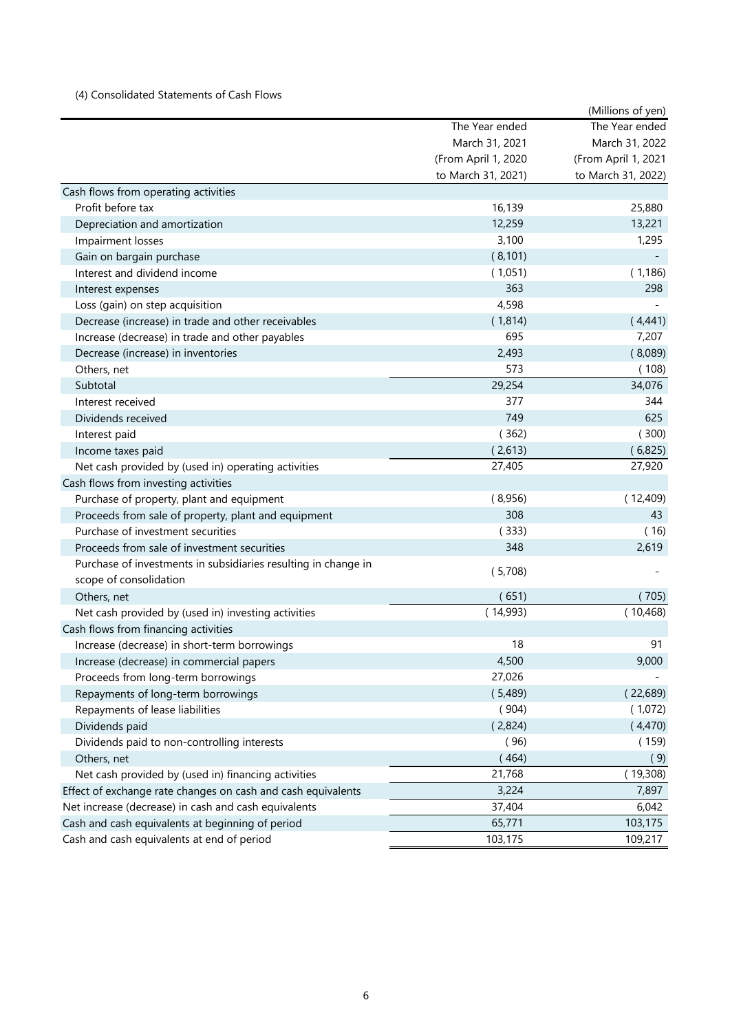# (4) Consolidated Statements of Cash Flows

|                                                                |                     | (Millions of yen)   |
|----------------------------------------------------------------|---------------------|---------------------|
|                                                                | The Year ended      | The Year ended      |
|                                                                | March 31, 2021      | March 31, 2022      |
|                                                                | (From April 1, 2020 | (From April 1, 2021 |
|                                                                | to March 31, 2021)  | to March 31, 2022)  |
| Cash flows from operating activities                           |                     |                     |
| Profit before tax                                              | 16,139              | 25,880              |
| Depreciation and amortization                                  | 12,259              | 13,221              |
| Impairment losses                                              | 3,100               | 1,295               |
| Gain on bargain purchase                                       | (8, 101)            |                     |
| Interest and dividend income                                   | (1,051)             | (1, 186)            |
| Interest expenses                                              | 363                 | 298                 |
| Loss (gain) on step acquisition                                | 4,598               |                     |
| Decrease (increase) in trade and other receivables             | (1,814)             | (4,441)             |
| Increase (decrease) in trade and other payables                | 695                 | 7,207               |
| Decrease (increase) in inventories                             | 2,493               | (8,089)             |
| Others, net                                                    | 573                 | (108)               |
| Subtotal                                                       | 29,254              | 34,076              |
| Interest received                                              | 377                 | 344                 |
| Dividends received                                             | 749                 | 625                 |
| Interest paid                                                  | (362)               | (300)               |
| Income taxes paid                                              | (2,613)             | (6,825)             |
| Net cash provided by (used in) operating activities            | 27,405              | 27,920              |
| Cash flows from investing activities                           |                     |                     |
| Purchase of property, plant and equipment                      | (8,956)             | (12,409)            |
| Proceeds from sale of property, plant and equipment            | 308                 | 43                  |
| Purchase of investment securities                              | (333)               | (16)                |
| Proceeds from sale of investment securities                    | 348                 | 2,619               |
| Purchase of investments in subsidiaries resulting in change in |                     |                     |
| scope of consolidation                                         | (5,708)             |                     |
| Others, net                                                    | (651)               | (705)               |
| Net cash provided by (used in) investing activities            | (14,993)            | (10, 468)           |
| Cash flows from financing activities                           |                     |                     |
| Increase (decrease) in short-term borrowings                   | 18                  | 91                  |
| Increase (decrease) in commercial papers                       | 4,500               | 9,000               |
| Proceeds from long-term borrowings                             | 27,026              |                     |
| Repayments of long-term borrowings                             | (5,489)             | (22,689)            |
| Repayments of lease liabilities                                | (904)               | (1,072)             |
| Dividends paid                                                 | (2,824)             | (4,470)             |
| Dividends paid to non-controlling interests                    | (96)                | (159)               |
| Others, net                                                    | (464)               | (9)                 |
| Net cash provided by (used in) financing activities            | 21,768              | (19,308)            |
| Effect of exchange rate changes on cash and cash equivalents   | 3,224               | 7,897               |
| Net increase (decrease) in cash and cash equivalents           | 37,404              | 6,042               |
| Cash and cash equivalents at beginning of period               | 65,771              | 103,175             |
| Cash and cash equivalents at end of period                     | 103,175             | 109,217             |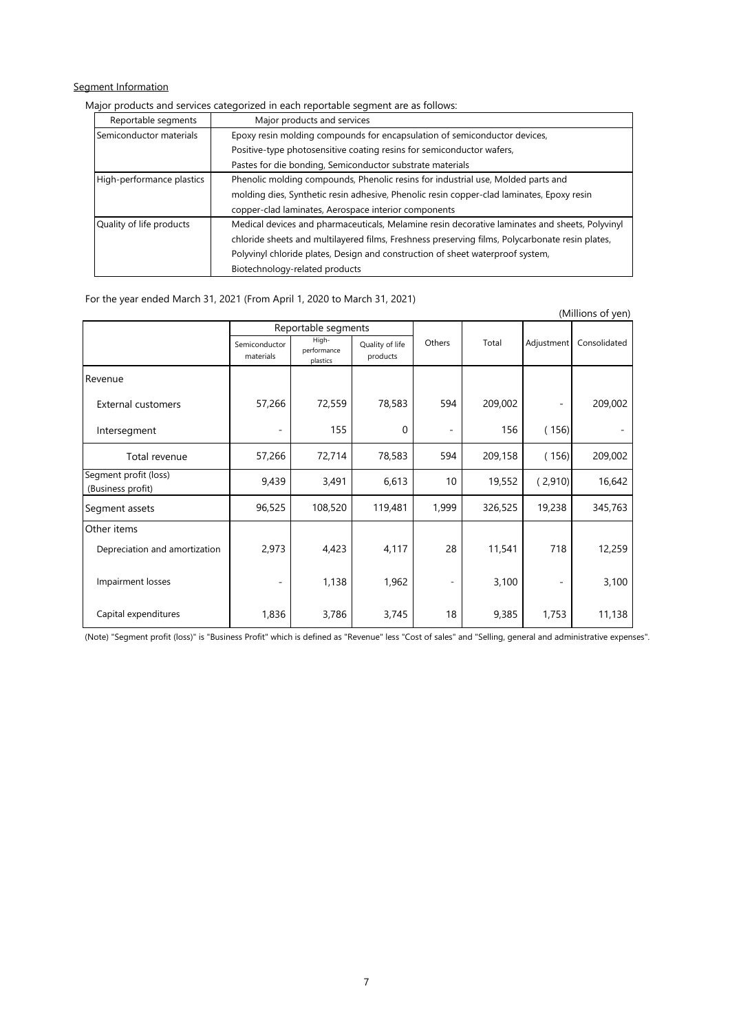# Segment Information

#### Major products and services categorized in each reportable segment are as follows:

| Reportable segments       | Major products and services                                                                     |
|---------------------------|-------------------------------------------------------------------------------------------------|
| Semiconductor materials   | Epoxy resin molding compounds for encapsulation of semiconductor devices,                       |
|                           | Positive-type photosensitive coating resins for semiconductor wafers,                           |
|                           | Pastes for die bonding, Semiconductor substrate materials                                       |
| High-performance plastics | Phenolic molding compounds, Phenolic resins for industrial use, Molded parts and                |
|                           | molding dies, Synthetic resin adhesive, Phenolic resin copper-clad laminates, Epoxy resin       |
|                           | copper-clad laminates, Aerospace interior components                                            |
| Quality of life products  | Medical devices and pharmaceuticals, Melamine resin decorative laminates and sheets, Polyvinyl  |
|                           | chloride sheets and multilayered films, Freshness preserving films, Polycarbonate resin plates, |
|                           | Polyvinyl chloride plates, Design and construction of sheet waterproof system,                  |
|                           | Biotechnology-related products                                                                  |

#### For the year ended March 31, 2021 (From April 1, 2020 to March 31, 2021)

|                                            |                            |                                  |                             |                          |         |            | (Millions of yen) |
|--------------------------------------------|----------------------------|----------------------------------|-----------------------------|--------------------------|---------|------------|-------------------|
|                                            |                            | Reportable segments              |                             |                          |         |            |                   |
|                                            | Semiconductor<br>materials | High-<br>performance<br>plastics | Quality of life<br>products | Others                   | Total   | Adjustment | Consolidated      |
| Revenue                                    |                            |                                  |                             |                          |         |            |                   |
| <b>External customers</b>                  | 57,266                     | 72,559                           | 78,583                      | 594                      | 209,002 |            | 209,002           |
| Intersegment                               |                            | 155                              | $\Omega$                    | $\overline{\phantom{a}}$ | 156     | (156)      |                   |
| Total revenue                              | 57,266                     | 72,714                           | 78,583                      | 594                      | 209,158 | (156)      | 209,002           |
| Segment profit (loss)<br>(Business profit) | 9,439                      | 3,491                            | 6,613                       | 10                       | 19,552  | (2,910)    | 16,642            |
| Segment assets                             | 96,525                     | 108,520                          | 119,481                     | 1,999                    | 326,525 | 19,238     | 345,763           |
| Other items                                |                            |                                  |                             |                          |         |            |                   |
| Depreciation and amortization              | 2,973                      | 4,423                            | 4,117                       | 28                       | 11,541  | 718        | 12,259            |
| Impairment losses                          | $\overline{\phantom{0}}$   | 1,138                            | 1,962                       | -                        | 3,100   |            | 3,100             |
| Capital expenditures                       | 1,836                      | 3,786                            | 3,745                       | 18                       | 9,385   | 1,753      | 11,138            |

(Note) "Segment profit (loss)" is "Business Profit" which is defined as "Revenue" less "Cost of sales" and "Selling, general and administrative expenses".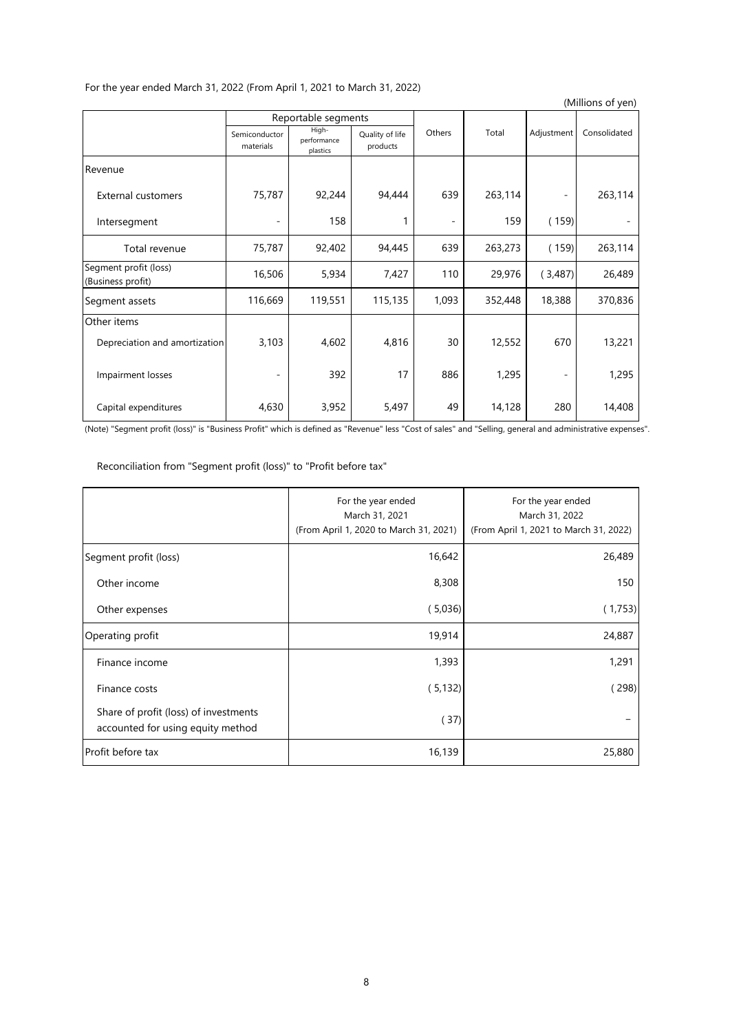| (Millions of yen)                          |                            |                                  |                             |        |         |                          |              |  |  |  |
|--------------------------------------------|----------------------------|----------------------------------|-----------------------------|--------|---------|--------------------------|--------------|--|--|--|
|                                            |                            | Reportable segments              |                             |        |         |                          |              |  |  |  |
|                                            | Semiconductor<br>materials | High-<br>performance<br>plastics | Quality of life<br>products | Others | Total   | Adjustment               | Consolidated |  |  |  |
| Revenue                                    |                            |                                  |                             |        |         |                          |              |  |  |  |
| <b>External customers</b>                  | 75,787                     | 92,244                           | 94,444                      | 639    | 263,114 |                          | 263,114      |  |  |  |
| Intersegment                               | $\overline{a}$             | 158                              |                             |        | 159     | (159)                    |              |  |  |  |
| Total revenue                              | 75,787                     | 92,402                           | 94,445                      | 639    | 263,273 | (159)                    | 263,114      |  |  |  |
| Segment profit (loss)<br>(Business profit) | 16,506                     | 5,934                            | 7,427                       | 110    | 29,976  | (3,487)                  | 26,489       |  |  |  |
| Segment assets                             | 116,669                    | 119,551                          | 115,135                     | 1,093  | 352,448 | 18,388                   | 370,836      |  |  |  |
| Other items                                |                            |                                  |                             |        |         |                          |              |  |  |  |
| Depreciation and amortization              | 3,103                      | 4,602                            | 4,816                       | 30     | 12,552  | 670                      | 13,221       |  |  |  |
| Impairment losses                          |                            | 392                              | 17                          | 886    | 1,295   | $\overline{\phantom{a}}$ | 1,295        |  |  |  |
| Capital expenditures                       | 4,630                      | 3,952                            | 5,497                       | 49     | 14,128  | 280                      | 14,408       |  |  |  |

# For the year ended March 31, 2022 (From April 1, 2021 to March 31, 2022)

(Note) "Segment profit (loss)" is "Business Profit" which is defined as "Revenue" less "Cost of sales" and "Selling, general and administrative expenses".

Reconciliation from "Segment profit (loss)" to "Profit before tax"

|                                                                            | For the year ended<br>March 31, 2021<br>(From April 1, 2020 to March 31, 2021) | For the year ended<br>March 31, 2022<br>(From April 1, 2021 to March 31, 2022) |
|----------------------------------------------------------------------------|--------------------------------------------------------------------------------|--------------------------------------------------------------------------------|
| Segment profit (loss)                                                      | 16,642                                                                         | 26,489                                                                         |
| Other income                                                               | 8,308                                                                          | 150                                                                            |
| Other expenses                                                             | (5,036)                                                                        | (1,753)                                                                        |
| Operating profit                                                           | 19,914                                                                         | 24,887                                                                         |
| Finance income                                                             | 1,393                                                                          | 1,291                                                                          |
| Finance costs                                                              | (5, 132)                                                                       | (298)                                                                          |
| Share of profit (loss) of investments<br>accounted for using equity method | (37)                                                                           |                                                                                |
| Profit before tax                                                          | 16,139                                                                         | 25,880                                                                         |